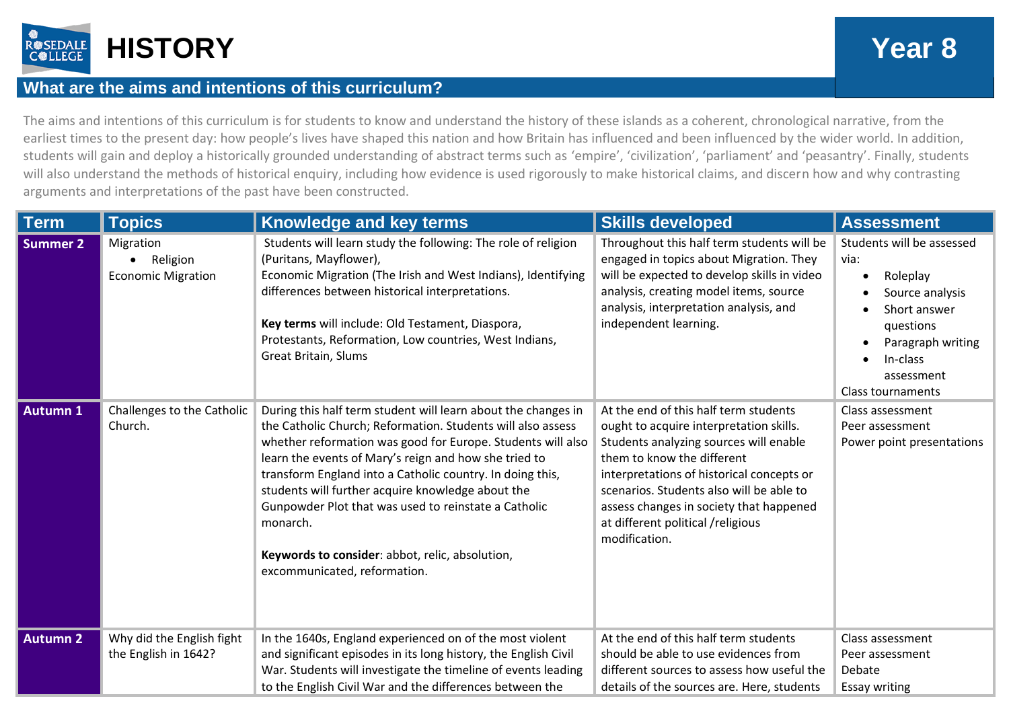

## **What are the aims and intentions of this curriculum?**

The aims and intentions of this curriculum is for students to know and understand the history of these islands as a coherent, chronological narrative, from the earliest times to the present day: how people's lives have shaped this nation and how Britain has influenced and been influenced by the wider world. In addition, students will gain and deploy a historically grounded understanding of abstract terms such as 'empire', 'civilization', 'parliament' and 'peasantry'. Finally, students will also understand the methods of historical enquiry, including how evidence is used rigorously to make historical claims, and discern how and why contrasting arguments and interpretations of the past have been constructed.

| <b>Term</b>     | <b>Topics</b>                                      | Knowledge and key terms                                                                                                                                                                                                                                                                                                                                                                                                                                                                                                       | <b>Skills developed</b>                                                                                                                                                                                                                                                                                                                            | <b>Assessment</b>                                                                                                                                                        |
|-----------------|----------------------------------------------------|-------------------------------------------------------------------------------------------------------------------------------------------------------------------------------------------------------------------------------------------------------------------------------------------------------------------------------------------------------------------------------------------------------------------------------------------------------------------------------------------------------------------------------|----------------------------------------------------------------------------------------------------------------------------------------------------------------------------------------------------------------------------------------------------------------------------------------------------------------------------------------------------|--------------------------------------------------------------------------------------------------------------------------------------------------------------------------|
| Summer 2        | Migration<br>Religion<br><b>Economic Migration</b> | Students will learn study the following: The role of religion<br>(Puritans, Mayflower),<br>Economic Migration (The Irish and West Indians), Identifying<br>differences between historical interpretations.<br>Key terms will include: Old Testament, Diaspora,<br>Protestants, Reformation, Low countries, West Indians,<br><b>Great Britain, Slums</b>                                                                                                                                                                       | Throughout this half term students will be<br>engaged in topics about Migration. They<br>will be expected to develop skills in video<br>analysis, creating model items, source<br>analysis, interpretation analysis, and<br>independent learning.                                                                                                  | Students will be assessed<br>via:<br>Roleplay<br>Source analysis<br>Short answer<br>questions<br>Paragraph writing<br>In-class<br>assessment<br><b>Class tournaments</b> |
| <b>Autumn 1</b> | Challenges to the Catholic<br>Church.              | During this half term student will learn about the changes in<br>the Catholic Church; Reformation. Students will also assess<br>whether reformation was good for Europe. Students will also<br>learn the events of Mary's reign and how she tried to<br>transform England into a Catholic country. In doing this,<br>students will further acquire knowledge about the<br>Gunpowder Plot that was used to reinstate a Catholic<br>monarch.<br>Keywords to consider: abbot, relic, absolution,<br>excommunicated, reformation. | At the end of this half term students<br>ought to acquire interpretation skills.<br>Students analyzing sources will enable<br>them to know the different<br>interpretations of historical concepts or<br>scenarios. Students also will be able to<br>assess changes in society that happened<br>at different political /religious<br>modification. | Class assessment<br>Peer assessment<br>Power point presentations                                                                                                         |
| <b>Autumn 2</b> | Why did the English fight<br>the English in 1642?  | In the 1640s, England experienced on of the most violent<br>and significant episodes in its long history, the English Civil<br>War. Students will investigate the timeline of events leading<br>to the English Civil War and the differences between the                                                                                                                                                                                                                                                                      | At the end of this half term students<br>should be able to use evidences from<br>different sources to assess how useful the<br>details of the sources are. Here, students                                                                                                                                                                          | Class assessment<br>Peer assessment<br>Debate<br><b>Essay writing</b>                                                                                                    |